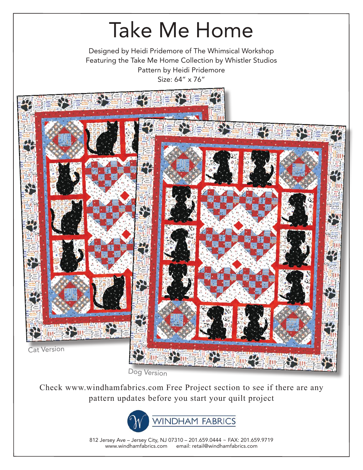Designed by Heidi Pridemore of The Whimsical Workshop Featuring the Take Me Home Collection by Whistler Studios Pattern by Heidi Pridemore Size: 64" x 76"



Dog Version

Check www.windhamfabrics.com Free Project section to see if there are any pattern updates before you start your quilt project



812 Jersey Ave – Jersey City, NJ 07310 – 201.659.0444 ~ FAX: 201.659.9719 www.windhamfabrics.com email: retail@windhamfabrics.com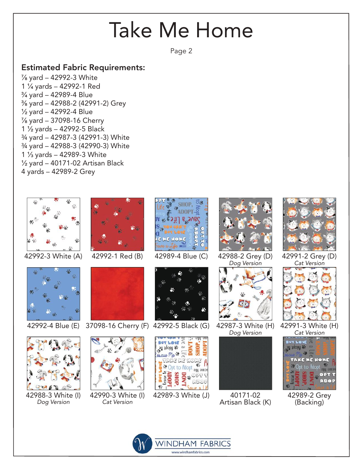Page 2

#### Estimated Fabric Requirements:

⅞ yard – 42992-3 White 1 ¼ yards – 42992-1 Red ¾ yard – 42989-4 Blue ⅜ yard – 42988-2 (42991-2) Grey ½ yard – 42992-4 Blue ⅞ yard – 37098-16 Cherry 1 ½ yards – 42992-5 Black ¾ yard – 42987-3 (42991-3) White ¾ yard – 42988-3 (42990-3) White 1 ⅓ yards – 42989-3 White  $\frac{1}{2}$  yard - 40171-02 Artisan Black 4 yards – 42989-2 Grey



42992-3 White (A)





*Dog Version*



42992-1 Red (B)



42990-3 White (I) *Cat Version*





42989-4 Blue (C)

знор



42989-3 White (J)



42988-2 Grey (D) *Dog Version*



42987-3 White (H) *Dog Version*



40171-02 Artisan Black (K)



42991-2 Grey (D) *Cat Version*



42991-3 White (H) *Cat Version*



42989-2 Grey (Backing)

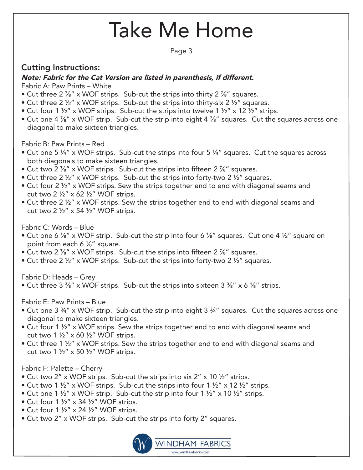Page 3

### Cutting Instructions:

#### Note: Fabric for the Cat Version are listed in parenthesis, if different.

Fabric A: Paw Prints – White

- Cut three 2 %" x WOF strips. Sub-cut the strips into thirty 2 %" squares.
- Cut three 2 ½" x WOF strips. Sub-cut the strips into thirty-six 2 ½" squares.
- Cut four 1 ½" x WOF strips. Sub-cut the strips into twelve 1 ½" x 12 ½" strips.
- Cut one 4  $\frac{7}{8}$ " x WOF strip. Sub-cut the strip into eight 4  $\frac{7}{8}$ " squares. Cut the squares across one diagonal to make sixteen triangles.

Fabric B: Paw Prints – Red

- Cut one 5 ¼" x WOF strips. Sub-cut the strips into four 5 ¼" squares. Cut the squares across both diagonals to make sixteen triangles.
- Cut two 2 <sup>7</sup>/<sub>6</sub>" x WOF strips. Sub-cut the strips into fifteen 2 <sup>7</sup>/<sub>6</sub>" squares.
- Cut three 2  $\frac{1}{2}$ " x WOF strips. Sub-cut the strips into forty-two 2  $\frac{1}{2}$ " squares.
- Cut four 2 ½" x WOF strips. Sew the strips together end to end with diagonal seams and cut two 2 ½" x 62 ½" WOF strips.
- Cut three 2 ½" x WOF strips. Sew the strips together end to end with diagonal seams and cut two 2  $\frac{1}{2}$ " x 54  $\frac{1}{2}$ " WOF strips.

Fabric C: Words – Blue

- Cut one 6  $\frac{1}{2}$ " x WOF strip. Sub-cut the strip into four 6  $\frac{1}{8}$ " squares. Cut one 4  $\frac{1}{2}$ " square on point from each 6  $\frac{1}{8}$ " square.
- Cut two 2 <sup>7</sup>/<sub>8</sub>" x WOF strips. Sub-cut the strips into fifteen 2 <sup>7</sup>/<sub>8</sub>" squares.
- Cut three 2  $\frac{1}{2}$ " x WOF strips. Sub-cut the strips into forty-two 2  $\frac{1}{2}$ " squares.

Fabric D: Heads – Grey

• Cut three 3  $\frac{3}{8}$ " x WOF strips. Sub-cut the strips into sixteen 3  $\frac{3}{8}$ " x 6  $\frac{1}{8}$ " strips.

#### Fabric E: Paw Prints – Blue

- Cut one 3 ¾" x WOF strip. Sub-cut the strip into eight 3 ¾" squares. Cut the squares across one diagonal to make sixteen triangles.
- Cut four 1 ½" x WOF strips. Sew the strips together end to end with diagonal seams and cut two 1  $\frac{1}{2}$ " x 60  $\frac{1}{2}$ " WOF strips.
- Cut three 1 ½" x WOF strips. Sew the strips together end to end with diagonal seams and cut two 1  $\frac{1}{2}$ " x 50  $\frac{1}{2}$ " WOF strips.

Fabric F: Palette – Cherry

- Cut two 2" x WOF strips. Sub-cut the strips into six 2" x 10 1/2" strips.
- Cut two 1  $\frac{1}{2}$ " x WOF strips. Sub-cut the strips into four 1  $\frac{1}{2}$ " x 12  $\frac{1}{2}$ " strips.
- Cut one 1  $\frac{1}{2}$ " x WOF strip. Sub-cut the strip into four 1  $\frac{1}{2}$ " x 10  $\frac{1}{2}$ " strips.
- Cut four 1 ½" x 34 ½" WOF strips.
- Cut four 1 ½" x 24 ½" WOF strips.
- Cut two 2" x WOF strips. Sub-cut the strips into forty 2" squares.

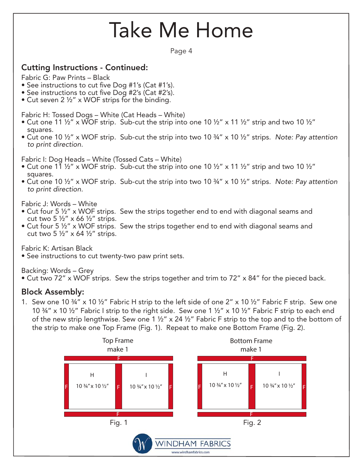Page 4

### Cutting Instructions - Continued:

Fabric G: Paw Prints – Black

- See instructions to cut five Dog #1's (Cat #1's).
- See instructions to cut five Dog #2's (Cat #2's).
- Cut seven 2 ½" x WOF strips for the binding.

Fabric H: Tossed Dogs – White (Cat Heads – White)

- Cut one 11  $\frac{1}{2}$ " x WOF strip. Sub-cut the strip into one 10  $\frac{1}{2}$ " x 11  $\frac{1}{2}$ " strip and two 10  $\frac{1}{2}$ " squares.
- Cut one 10 ½" x WOF strip. Sub-cut the strip into two 10 ¾" x 10 ½" strips. *Note: Pay attention to print direction.*

Fabric I: Dog Heads – White (Tossed Cats – White)

- Cut one 11  $\frac{1}{2}$  x WOF strip. Sub-cut the strip into one 10  $\frac{1}{2}$  x 11  $\frac{1}{2}$  strip and two 10  $\frac{1}{2}$ squares.
- Cut one 10 ½" x WOF strip. Sub-cut the strip into two 10 ¾" x 10 ½" strips. *Note: Pay attention to print direction.*

Fabric J: Words – White

- Cut four 5 ½" x WOF strips. Sew the strips together end to end with diagonal seams and cut two 5  $\frac{1}{2}$ " x 66  $\frac{1}{2}$ " strips.
- Cut four 5 ½" x WOF strips. Sew the strips together end to end with diagonal seams and cut two 5  $\frac{1}{2}$ " x 64  $\frac{1}{2}$ " strips.

Fabric K: Artisan Black

• See instructions to cut twenty-two paw print sets.

Backing: Words – Grey

• Cut two 72" x WOF strips. Sew the strips together and trim to 72" x 84" for the pieced back.

### Block Assembly:

1. Sew one 10 ¾" x 10 ½" Fabric H strip to the left side of one 2" x 10 ½" Fabric F strip. Sew one 10  $\frac{3}{4}$ " x 10  $\frac{1}{2}$ " Fabric I strip to the right side. Sew one 1  $\frac{1}{2}$ " x 10  $\frac{1}{2}$ " Fabric F strip to each end of the new strip lengthwise. Sew one 1 ½" x 24 ½" Fabric F strip to the top and to the bottom of the strip to make one Top Frame (Fig. 1). Repeat to make one Bottom Frame (Fig. 2).

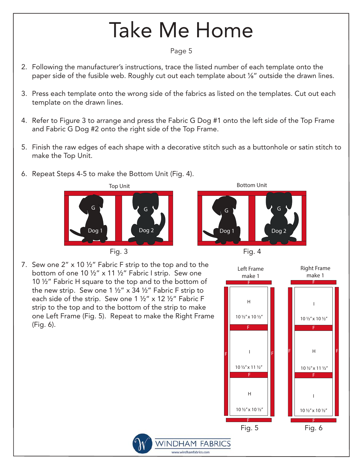#### Page 5

- 2. Following the manufacturer's instructions, trace the listed number of each template onto the paper side of the fusible web. Roughly cut out each template about <sup>1/8</sup> outside the drawn lines.
- 3. Press each template onto the wrong side of the fabrics as listed on the templates. Cut out each template on the drawn lines.
- 4. Refer to Figure 3 to arrange and press the Fabric G Dog #1 onto the left side of the Top Frame and Fabric G Dog #2 onto the right side of the Top Frame.
- 5. Finish the raw edges of each shape with a decorative stitch such as a buttonhole or satin stitch to make the Top Unit.

www.windhamfabrics.com

6. Repeat Steps 4-5 to make the Bottom Unit (Fig. 4).





Dog 1 Dog 2

G Y H Y G

Bottom Unit

7. Sew one 2" x 10 ½" Fabric F strip to the top and to the bottom of one 10 ½" x 11 ½" Fabric I strip. Sew one 10 ½" Fabric H square to the top and to the bottom of the new strip. Sew one 1  $\frac{1}{2}$  x 34  $\frac{1}{2}$  Fabric F strip to each side of the strip. Sew one 1  $\frac{1}{2}$ " x 12  $\frac{1}{2}$ " Fabric F strip to the top and to the bottom of the strip to make one Left Frame (Fig. 5). Repeat to make the Right Frame (Fig. 6).

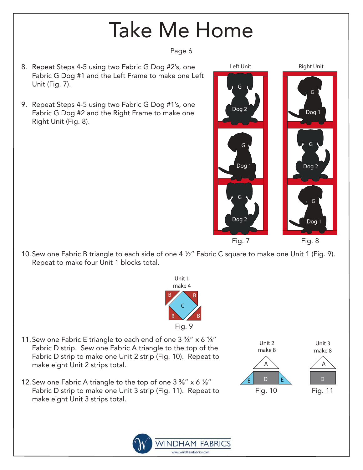Page 6

- 8. Repeat Steps 4-5 using two Fabric G Dog #2's, one Fabric G Dog #1 and the Left Frame to make one Left Unit (Fig. 7).
- 9. Repeat Steps 4-5 using two Fabric G Dog #1's, one Fabric G Dog #2 and the Right Frame to make one Right Unit (Fig. 8).



Fig. 10 Fig. 11

Unit 3 make 8

A

D

Unit 2 make 8

A

E D E

10. Sew one Fabric B triangle to each side of one 4 ½" Fabric C square to make one Unit 1 (Fig. 9). Repeat to make four Unit 1 blocks total.



- 11. Sew one Fabric E triangle to each end of one 3 ⅜" x 6 ⅛" Fabric D strip. Sew one Fabric A triangle to the top of the Fabric D strip to make one Unit 2 strip (Fig. 10). Repeat to make eight Unit 2 strips total.
- 12. Sew one Fabric A triangle to the top of one 3 ⅜" x 6 ⅛" Fabric D strip to make one Unit 3 strip (Fig. 11). Repeat to make eight Unit 3 strips total.

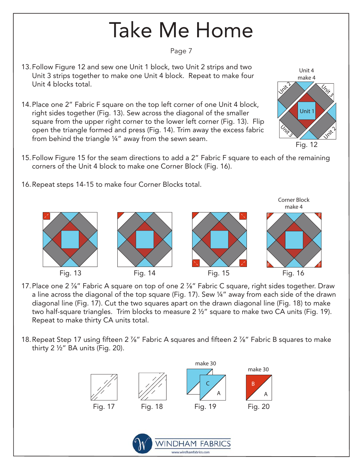#### Page 7

- 13. Follow Figure 12 and sew one Unit 1 block, two Unit 2 strips and two Unit 3 strips together to make one Unit 4 block. Repeat to make four Unit 4 blocks total.
- 14. Place one 2" Fabric F square on the top left corner of one Unit 4 block, right sides together (Fig. 13). Sew across the diagonal of the smaller square from the upper right corner to the lower left corner (Fig. 13). Flip open the triangle formed and press (Fig. 14). Trim away the excess fabric from behind the triangle ¼" away from the sewn seam.



- 15. Follow Figure 15 for the seam directions to add a 2" Fabric F square to each of the remaining corners of the Unit 4 block to make one Corner Block (Fig. 16).
- 16. Repeat steps 14-15 to make four Corner Blocks total.



- 17. Place one 2 ⅞" Fabric A square on top of one 2 ⅞" Fabric C square, right sides together. Draw a line across the diagonal of the top square (Fig. 17). Sew 1/4" away from each side of the drawn diagonal line (Fig. 17). Cut the two squares apart on the drawn diagonal line (Fig. 18) to make two half-square triangles. Trim blocks to measure 2 ½" square to make two CA units (Fig. 19). Repeat to make thirty CA units total.
- 18. Repeat Step 17 using fifteen 2 1⁄8" Fabric A squares and fifteen 2 1⁄8" Fabric B squares to make thirty 2 ½" BA units (Fig. 20).

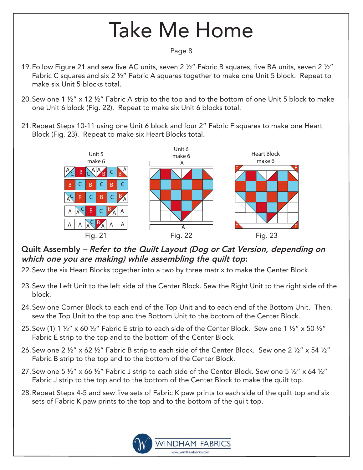Page 8

- 19. Follow Figure 21 and sew five AC units, seven 2 ½" Fabric B squares, five BA units, seven 2 ½" Fabric C squares and six 2 ½" Fabric A squares together to make one Unit 5 block. Repeat to make six Unit 5 blocks total.
- 20. Sew one 1 ½" x 12 ½" Fabric A strip to the top and to the bottom of one Unit 5 block to make one Unit 6 block (Fig. 22). Repeat to make six Unit 6 blocks total.
- 21. Repeat Steps 10-11 using one Unit 6 block and four 2" Fabric F squares to make one Heart Block (Fig. 23). Repeat to make six Heart Blocks total.



### Quilt Assembly – Refer to the Quilt Layout (Dog or Cat Version, depending on which one you are making) while assembling the quilt top:

22. Sew the six Heart Blocks together into a two by three matrix to make the Center Block.

- 23. Sew the Left Unit to the left side of the Center Block. Sew the Right Unit to the right side of the block.
- 24. Sew one Corner Block to each end of the Top Unit and to each end of the Bottom Unit. Then. sew the Top Unit to the top and the Bottom Unit to the bottom of the Center Block.
- 25. Sew (1) 1 ½" x 60 ½" Fabric E strip to each side of the Center Block. Sew one 1 ½" x 50 ½" Fabric E strip to the top and to the bottom of the Center Block.
- 26. Sew one 2 ½" x 62 ½" Fabric B strip to each side of the Center Block. Sew one 2 ½" x 54 ½" Fabric B strip to the top and to the bottom of the Center Block.
- 27. Sew one 5 ½" x 66 ½" Fabric J strip to each side of the Center Block. Sew one 5 ½" x 64 ½" Fabric J strip to the top and to the bottom of the Center Block to make the quilt top.
- 28. Repeat Steps 4-5 and sew five sets of Fabric K paw prints to each side of the quilt top and six sets of Fabric K paw prints to the top and to the bottom of the quilt top.

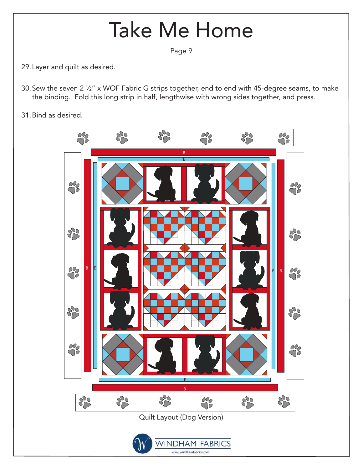Page 9

29.Layer and quilt as desired.

30. Sew the seven 2 ½" x WOF Fabric G strips together, end to end with 45-degree seams, to make the binding. Fold this long strip in half, lengthwise with wrong sides together, and press.

31. Bind as desired.

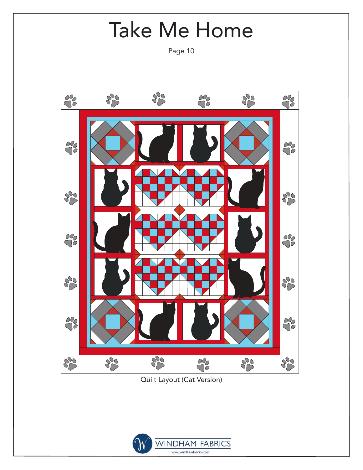

Quilt Layout (Cat Version)

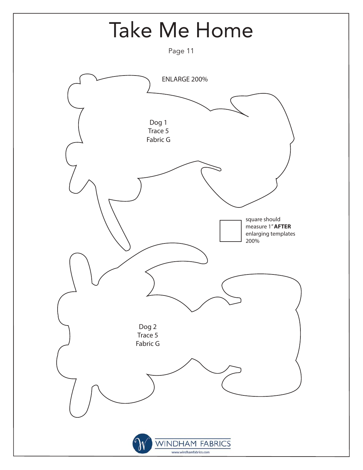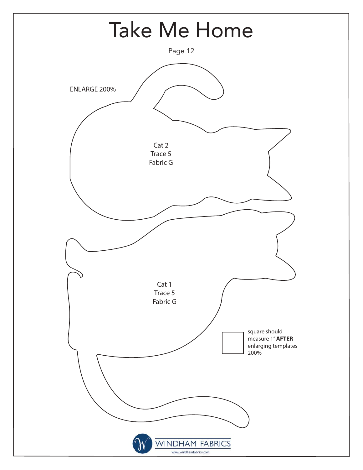